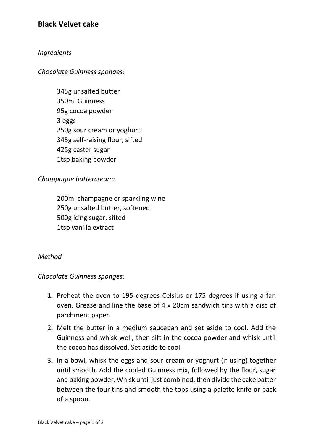# **Black Velvet cake**

#### *Ingredients*

*Chocolate Guinness sponges:*

345g unsalted butter 350ml Guinness 95g cocoa powder 3 eggs 250g sour cream or yoghurt 345g self-raising flour, sifted 425g caster sugar 1tsp baking powder

*Champagne buttercream:*

200ml champagne or sparkling wine 250g unsalted butter, softened 500g icing sugar, sifted 1tsp vanilla extract

#### *Method*

*Chocolate Guinness sponges:*

- 1. Preheat the oven to 195 degrees Celsius or 175 degrees if using a fan oven. Grease and line the base of 4 x 20cm sandwich tins with a disc of parchment paper.
- 2. Melt the butter in a medium saucepan and set aside to cool. Add the Guinness and whisk well, then sift in the cocoa powder and whisk until the cocoa has dissolved. Set aside to cool.
- 3. In a bowl, whisk the eggs and sour cream or yoghurt (if using) together until smooth. Add the cooled Guinness mix, followed by the flour, sugar and baking powder. Whisk until just combined, then divide the cake batter between the four tins and smooth the tops using a palette knife or back of a spoon.